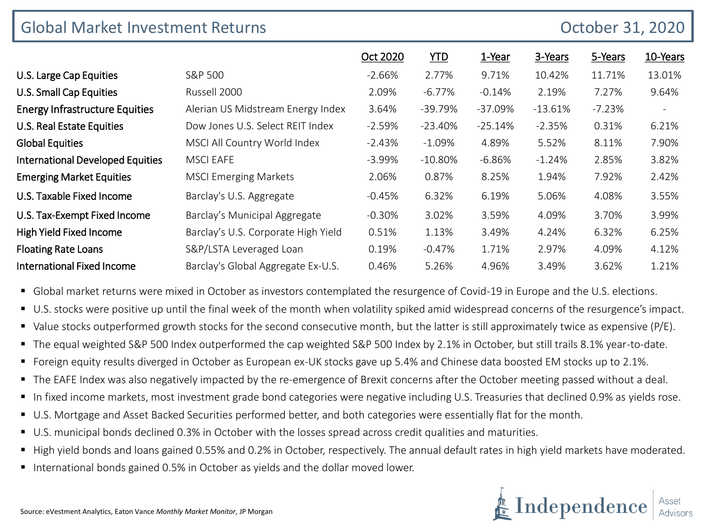| <b>Global Market Investment Returns</b><br>October 31, 2020 |                                     |           |            |           |           |          |                          |
|-------------------------------------------------------------|-------------------------------------|-----------|------------|-----------|-----------|----------|--------------------------|
|                                                             |                                     | Oct 2020  | <u>YTD</u> | 1-Year    | 3-Years   | 5-Years  | 10-Years                 |
| U.S. Large Cap Equities                                     | S&P 500                             | $-2.66%$  | 2.77%      | 9.71%     | 10.42%    | 11.71%   | 13.01%                   |
| <b>U.S. Small Cap Equities</b>                              | Russell 2000                        | 2.09%     | $-6.77%$   | $-0.14%$  | 2.19%     | 7.27%    | 9.64%                    |
| <b>Energy Infrastructure Equities</b>                       | Alerian US Midstream Energy Index   | 3.64%     | $-39.79%$  | $-37.09%$ | $-13.61%$ | $-7.23%$ | $\overline{\phantom{a}}$ |
| U.S. Real Estate Equities                                   | Dow Jones U.S. Select REIT Index    | $-2.59\%$ | $-23.40%$  | $-25.14%$ | $-2.35%$  | 0.31%    | 6.21%                    |
| <b>Global Equities</b>                                      | MSCI All Country World Index        | $-2.43%$  | $-1.09%$   | 4.89%     | 5.52%     | 8.11%    | 7.90%                    |
| <b>International Developed Equities</b>                     | <b>MSCI EAFE</b>                    | $-3.99%$  | $-10.80\%$ | $-6.86\%$ | $-1.24%$  | 2.85%    | 3.82%                    |
| <b>Emerging Market Equities</b>                             | <b>MSCI Emerging Markets</b>        | 2.06%     | 0.87%      | 8.25%     | 1.94%     | 7.92%    | 2.42%                    |
| U.S. Taxable Fixed Income                                   | Barclay's U.S. Aggregate            | $-0.45%$  | 6.32%      | 6.19%     | 5.06%     | 4.08%    | 3.55%                    |
| U.S. Tax-Exempt Fixed Income                                | Barclay's Municipal Aggregate       | $-0.30\%$ | 3.02%      | 3.59%     | 4.09%     | 3.70%    | 3.99%                    |
| High Yield Fixed Income                                     | Barclay's U.S. Corporate High Yield | 0.51%     | 1.13%      | 3.49%     | 4.24%     | 6.32%    | 6.25%                    |
| <b>Floating Rate Loans</b>                                  | S&P/LSTA Leveraged Loan             | 0.19%     | $-0.47%$   | 1.71%     | 2.97%     | 4.09%    | 4.12%                    |
| <b>International Fixed Income</b>                           | Barclay's Global Aggregate Ex-U.S.  | 0.46%     | 5.26%      | 4.96%     | 3.49%     | 3.62%    | 1.21%                    |

**•** Global market returns were mixed in October as investors contemplated the resurgence of Covid-19 in Europe and the U.S. elections.

- U.S. stocks were positive up until the final week of the month when volatility spiked amid widespread concerns of the resurgence's impact.
- Value stocks outperformed growth stocks for the second consecutive month, but the latter is still approximately twice as expensive (P/E).
- The equal weighted S&P 500 Index outperformed the cap weighted S&P 500 Index by 2.1% in October, but still trails 8.1% year-to-date.
- Foreign equity results diverged in October as European ex-UK stocks gave up 5.4% and Chinese data boosted EM stocks up to 2.1%.
- The EAFE Index was also negatively impacted by the re-emergence of Brexit concerns after the October meeting passed without a deal.
- In fixed income markets, most investment grade bond categories were negative including U.S. Treasuries that declined 0.9% as yields rose.
- U.S. Mortgage and Asset Backed Securities performed better, and both categories were essentially flat for the month.
- U.S. municipal bonds declined 0.3% in October with the losses spread across credit qualities and maturities.
- High yield bonds and loans gained 0.55% and 0.2% in October, respectively. The annual default rates in high yield markets have moderated.
- International bonds gained 0.5% in October as yields and the dollar moved lower.

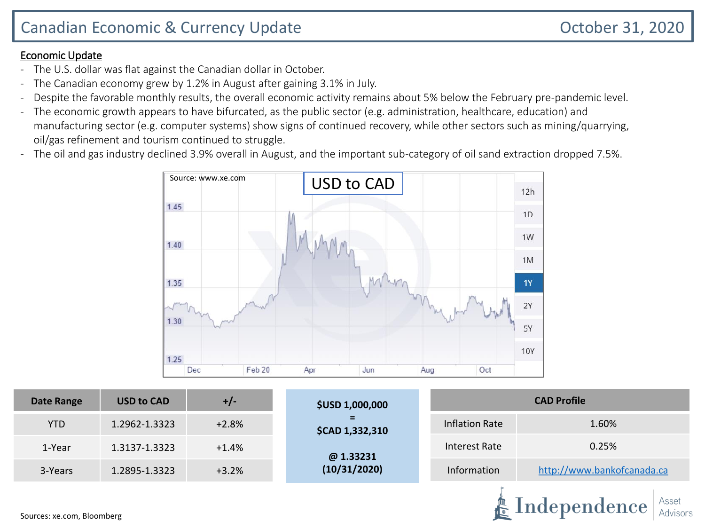#### Economic Update

- The U.S. dollar was flat against the Canadian dollar in October.
- The Canadian economy grew by 1.2% in August after gaining 3.1% in July.
- Despite the favorable monthly results, the overall economic activity remains about 5% below the February pre-pandemic level.
- The economic growth appears to have bifurcated, as the public sector (e.g. administration, healthcare, education) and manufacturing sector (e.g. computer systems) show signs of continued recovery, while other sectors such as mining/quarrying, oil/gas refinement and tourism continued to struggle.
- The oil and gas industry declined 3.9% overall in August, and the important sub-category of oil sand extraction dropped 7.5%.



| <b>Date Range</b>         | <b>USD to CAD</b> | $+/-$   | <b>\$USD 1,000,000</b> | <b>CAD Profile</b>             |                                     |  |  |  |
|---------------------------|-------------------|---------|------------------------|--------------------------------|-------------------------------------|--|--|--|
| <b>YTD</b>                | 1.2962-1.3323     | $+2.8%$ | $=$<br>\$CAD 1,332,310 | 1.60%<br><b>Inflation Rate</b> |                                     |  |  |  |
| 1-Year                    | 1.3137-1.3323     | $+1.4%$ | @1.33231               | Interest Rate                  | 0.25%<br>http://www.bankofcanada.ca |  |  |  |
| 3-Years                   | 1.2895-1.3323     | $+3.2%$ | (10/31/2020)           | Information                    |                                     |  |  |  |
| SOUTCAS' VA COM BLOOMBATG |                   |         |                        |                                | Asset<br>Independence<br>Advisors   |  |  |  |

Advisors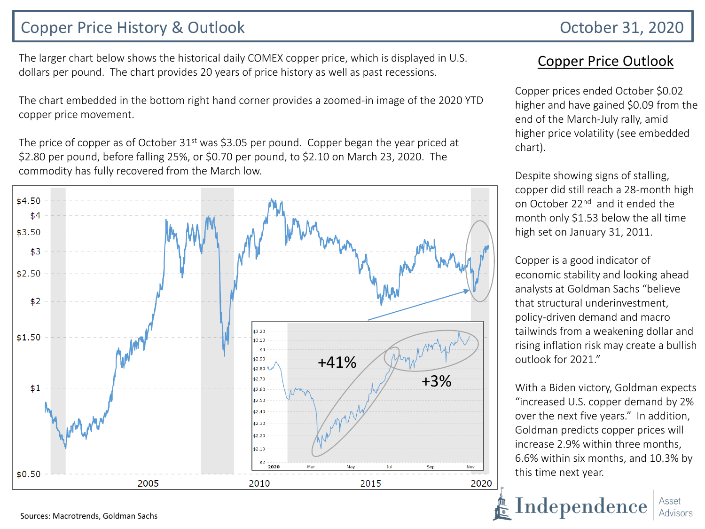## Copper Price History & Outlook **Copper Price History & Outlook** October 31, 2020

The larger chart below shows the historical daily COMEX copper price, which is displayed in U.S. dollars per pound. The chart provides 20 years of price history as well as past recessions.

The chart embedded in the bottom right hand corner provides a zoomed-in image of the 2020 YTD copper price movement.

The price of copper as of October  $31<sup>st</sup>$  was \$3.05 per pound. Copper began the year priced at \$2.80 per pound, before falling 25%, or \$0.70 per pound, to \$2.10 on March 23, 2020. The commodity has fully recovered from the March low.



#### Copper Price Outlook

Copper prices ended October \$0.02 higher and have gained \$0.09 from the end of the March-July rally, amid higher price volatility (see embedded chart).

Despite showing signs of stalling, copper did still reach a 28-month high on October 22<sup>nd</sup> and it ended the month only \$1.53 below the all time high set on January 31, 2011.

Copper is a good indicator of economic stability and looking ahead analysts at Goldman Sachs "believe that structural underinvestment, policy-driven demand and macro tailwinds from a weakening dollar and rising inflation risk may create a bullish outlook for 2021."

With a Biden victory, Goldman expects "increased U.S. copper demand by 2% over the next five years." In addition, Goldman predicts copper prices will increase 2.9% within three months, 6.6% within six months, and 10.3% by this time next year.